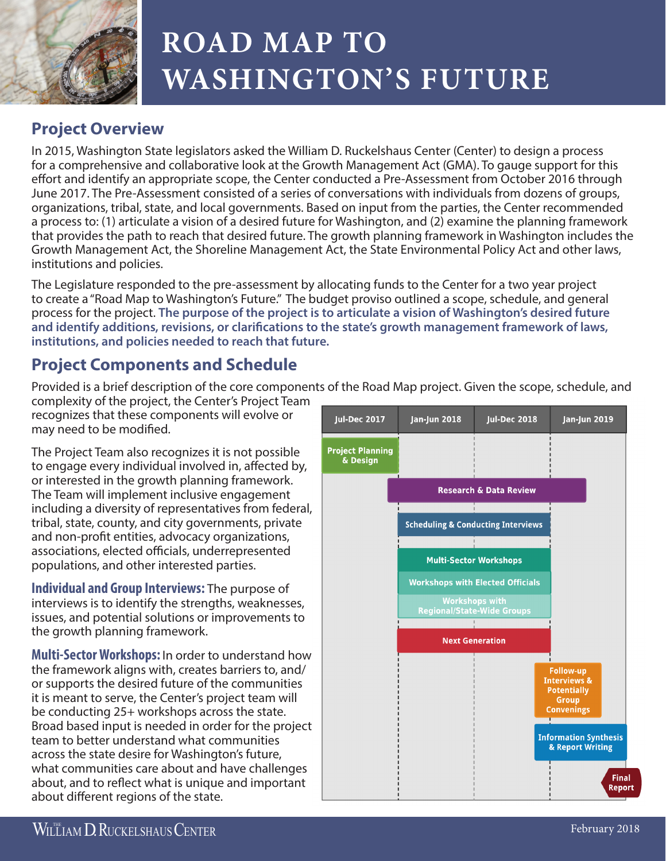

## **ROAD MAP TO WASHINGTON'S FUTURE**

## **Project Overview**

In 2015, Washington State legislators asked the William D. Ruckelshaus Center (Center) to design a process for a comprehensive and collaborative look at the Growth Management Act (GMA). To gauge support for this effort and identify an appropriate scope, the Center conducted a Pre-Assessment from October 2016 through June 2017. The Pre-Assessment consisted of a series of conversations with individuals from dozens of groups, organizations, tribal, state, and local governments. Based on input from the parties, the Center recommended a process to: (1) articulate a vision of a desired future for Washington, and (2) examine the planning framework that provides the path to reach that desired future. The growth planning framework in Washington includes the Growth Management Act, the Shoreline Management Act, the State Environmental Policy Act and other laws, institutions and policies.

The Legislature responded to the pre-assessment by allocating funds to the Center for a two year project to create a "Road Map to Washington's Future." The budget proviso outlined a scope, schedule, and general process for the project. **The purpose of the project is to articulate a vision of Washington's desired future and identify additions, revisions, or clarifications to the state's growth management framework of laws, institutions, and policies needed to reach that future.** 

## **Project Components and Schedule**

Provided is a brief description of the core components of the Road Map project. Given the scope, schedule, and

complexity of the project, the Center's Project Team recognizes that these components will evolve or may need to be modified.

The Project Team also recognizes it is not possible to engage every individual involved in, affected by, or interested in the growth planning framework. The Team will implement inclusive engagement including a diversity of representatives from federal, tribal, state, county, and city governments, private and non‐profit entities, advocacy organizations, associations, elected officials, underrepresented populations, and other interested parties.

**Individual and Group Interviews:** The purpose of interviews is to identify the strengths, weaknesses, issues, and potential solutions or improvements to the growth planning framework.

**Multi-Sector Workshops:** In order to understand how the framework aligns with, creates barriers to, and/ or supports the desired future of the communities it is meant to serve, the Center's project team will be conducting 25+ workshops across the state. Broad based input is needed in order for the project team to better understand what communities across the state desire for Washington's future, what communities care about and have challenges about, and to reflect what is unique and important about different regions of the state.